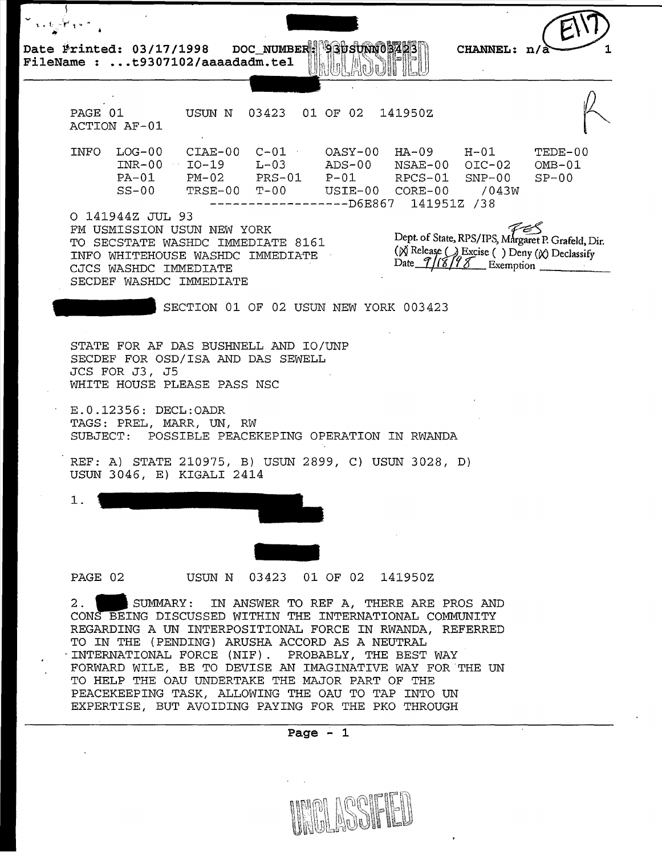DOC\_NUMBER: 930SUNN03423 Date Printed: 03/17/1998 FileName : ...t9307102/aaaadadm.tel

PAGE 01 ACTION AF-01 INFO LOG-00 INR-00 PA-01  $SS-00$ USUN N 03423 01 OF 02 141950Z CIAE-00 C-Ol OASY-00 HA-09 H-01 I0-19 L-03 ADS-00 NSAE-00 OIC-02 PM-02 PRS-01 P-01 RPCS-01 SNP-00 USIE-00 CORE-00 /0<br>----D6E867 141951Z /38 ------------------D6E867 0 141944Z JUL 93 TEDE-00 OMB-01  $SP-00$ FM USMISSION USUN NEW YORK TO SECSTATE WASHDC IMMEDIATE 8161 INFO WHITEHOUSE WASHDC IMMEDIATE CJCS WASHDC IMMEDIATE Dept. of State, RPS/IPS, Margaret P. Grafeld, Dir. ( $\chi$  Release ( ) Excise ( ) Deny ( $\chi$ ) Declassify<br>Date 1/18/98 Exemption SECDEF WASHDC IMMEDIATE SECTION 01 OF 02 USUN NEW YORK 003423 STATE FOR AF DAS BUSHNELL AND IO/UNP SECDEF FOR OSD/ISA AND DAS SEWELL JCS FOR J3, J5 WHITE HOUSE PLEASE PASS NSC E.0.12356: DECL:OADR TAGS: PREL, MARR, UN, RW SUBJECT: POSSIBLE PEACEKEPING OPERATION IN RWANDA REF: A) STATE 210975, B) USUN 2899, C) USUN 3028, D) USUN 3046, E) KIGALI 2414 1. PAGE 02 USUN N -<br>342 01 OF 02 141950Z 2. SUMMARY: IN ANSWER TO REF A, THERE ARE PROS AND CONS BEING DISCUSSED WITHIN THE INTERNATIONAL COMMUNITY REGARDING A UN INTERPOSITIONAL FORCE IN RWANDA, REFERRED TO IN THE (PENDING) ARUSHA ACCORD AS A NEUTRAL INTERNATIONAL FORCE (NIF). PROBABLY, THE BEST WAY FORWARD WILE, BE TO DEVISE AN IMAGINATIVE WAY FOR THE UN TO HELP THE OAU UNDERTAKE THE MAJOR PART OF THE PEACEKEEPING TASK, ALLOWING THE OAU TO TAP INTO UN

CHANNEL:  $n/\lambda$ 

**Page - 1** 

EXPERTISE, BUT AVOIDING PAYING FOR THE PKO THROUGH

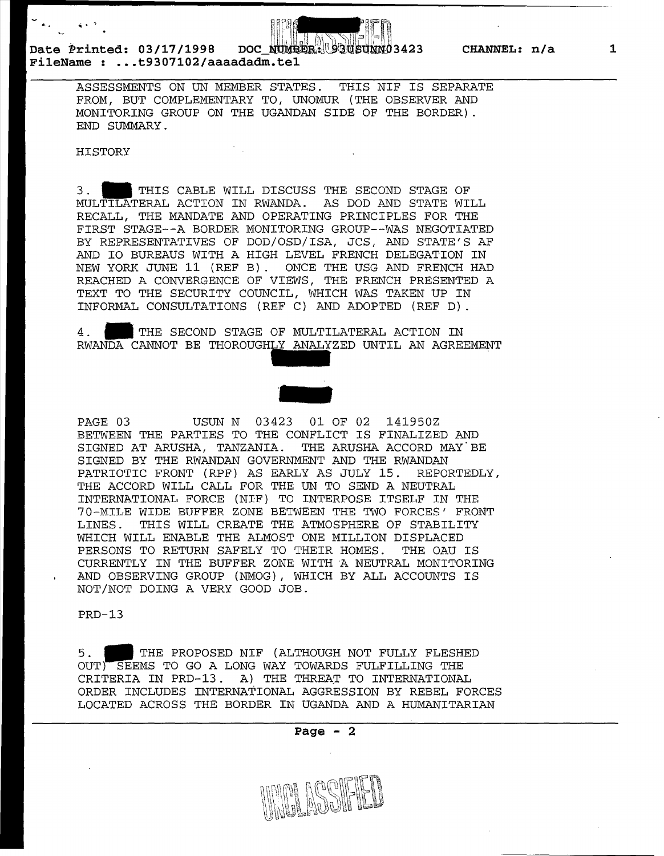

## Date Printed: 03/17/1998 DOC\_NUMBER: USUSUNN03423 CHANNEL: n/a **FileName : ... t9307102/aaaadadm.tel**

ASSESSMENTS ON UN MEMBER STATES. THIS NIF IS SEPARATE FROM, BUT COMPLEMENTARY TO, UNOMUR (THE OBSERVER AND MONITORING GROUP ON THE UGANDAN SIDE OF THE BORDER}. END SUMMARY.

## HISTORY

 $\sim$  4.5  $^{\circ}$ 

3. **1111** THIS CABLE WILL DISCUSS THE SECOND STAGE OF MULTILATERAL ACTION IN RWANDA. AS DOD AND STATE WILL RECALL, THE MANDATE AND OPERATING PRINCIPLES FOR THE FIRST STAGE--A BORDER MONITORING GROUP--WAS NEGOTIATED BY REPRESENTATIVES OF DOD/OSD/ISA, JCS, AND STATE'S AF AND IO BUREAUS WITH A HIGH LEVEL FRENCH DELEGATION IN NEW YORK JUNE 11 (REF B) . ONCE THE USG AND FRENCH HAD REACHED A CONVERGENCE OF VIEWS, THE FRENCH PRESENTED A TEXT TO THE SECURITY COUNCIL, WHICH WAS TAKEN UP IN INFORMAL CONSULTATIONS (REF C) AND ADOPTED (REF D) .

4. THE SECOND STAGE OF MULTILATERAL ACTION IN RWANDA CANNOT BE THOROUGHLY ANALYZED UNTIL AN AGREEMENT



PAGE 03 USUN N 03423 01 OF 02 141950Z BETWEEN THE PARTIES TO THE CONFLICT IS FINALIZED AND SIGNED AT ARUSHA, TANZANIA. THE ARUSHA ACCORD MAY BE SIGNED BY THE RWANDAN GOVERNMENT AND THE RWANDAN PATRIOTIC FRONT (RPF} AS EARLY AS JULY 15. REPORTEDLY, THE ACCORD WILL CALL FOR THE UN TO SEND A NEUTRAL INTERNATIONAL FORCE (NIF} TO INTERPOSE ITSELF IN THE 70-MILE WIDE BUFFER ZONE BETWEEN THE TWO FORCES' FRONT LINES. THIS WILL CREATE THE ATMOSPHERE OF STABILITY WHICH WILL ENABLE THE ALMOST ONE MILLION DISPLACED PERSONS TO RETURN SAFELY TO THEIR HOMES. THE OAU IS CURRENTLY IN THE BUFFER ZONE WITH A NEUTRAL MONITORING AND OBSERVING GROUP (NMOG}, WHICH BY ALL ACCOUNTS IS NOT/NOT DOING A VERY GOOD JOB.

PRD-13

5. **1111** THE PROPOSED NIF (ALTHOUGH NOT FULLY FLESHED OUT) SEEMS TO GO A LONG WAY TOWARDS FULFILLING THE CRITERIA IN PRD-13. A) THE THREAT TO INTERNATIONAL ORDER INCLUDES INTERNATIONAL AGGRESSION BY REBEL FORCES LOCATED ACROSS THE BORDER IN UGANDA AND A HUMANITARIAN

**Page** - 2



**1**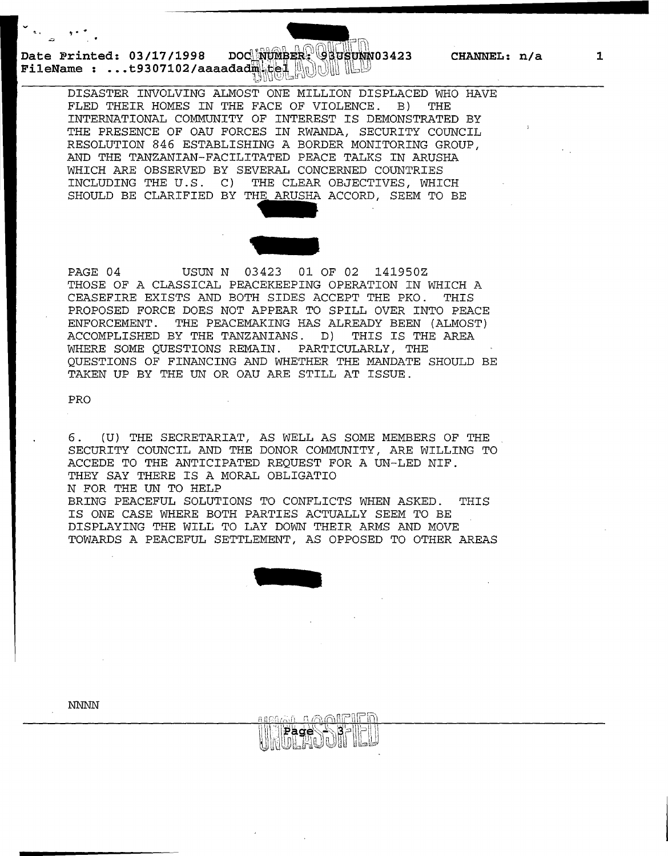Date Printed: 03/17/1998 DOC NUMBER: 08USUNN03423 CHANNEL: n/a **FileName : ...t9307102/aaaadad删记是儿别UUUILLU** 

DISASTER INVOLVING ALMOST ONE MILLION DISPLACED WHO HAVE FLED THEIR HOMES IN THE FACE OF VIOLENCE. B) THE INTERNATIONAL COMMUNITY OF INTEREST IS DEMONSTRATED BY THE PRESENCE OF OAU FORCES IN RWANDA, SECURITY COUNCIL RESOLUTION 846 ESTABLISHING A BORDER MONITORING GROUP, AND THE TANZANIAN-FACILITATED PEACE TALKS IN ARUSHA WHICH ARE OBSERVED BY SEVERAL CONCERNED COUNTRIES<br>INCLUDING THE U.S. C) THE CLEAR OBJECTIVES, WHI THE CLEAR OBJECTIVES, WHICH SHOULD BE CLARIFIED BY THE ARUSHA ACCORD, SEEM TO BE THE CITY TRIBANCE: THE OF VIOLENCE: THE<br>OF INTEREST IS DEMONST<br>ES IN RWANDA, SECURITY<br>ING A BORDER MONITORIN<br>TATED PEACE TALKS IN A<br>VERAL CONCERNED COUNTR<br>THE CLEAR OBJECTIVES,<br>HE ARUSHA ACCORD, SEEM



PAGE 04 USUN N 03423 01 OF 02 141950Z THOSE OF A CLASSICAL PEACEKEEPING OPERATION IN WHICH A CEASEFIRE EXISTS AND BOTH SIDES ACCEPT THE PKO. THIS PROPOSED FORCE DOES NOT APPEAR TO SPILL OVER INTO PEACE ENFORCEMENT. THE PEACEMAKING HAS ALREADY BEEN (ALMOST) ACCOMPLISHED BY THE TANZANIANS. D) THIS IS THE AREA WHERE SOME QUESTIONS REMAIN. PARTICULARLY, THE QUESTIONS OF FINANCING AND WHETHER THE MANDATE SHOULD BE TAKEN UP BY THE UN OR OAU ARE STILL AT ISSUE.

PRO

6. (U) THE SECRETARIAT, AS WELL AS SOME MEMBERS OF THE SECURITY COUNCIL AND THE DONOR COMMUNITY, ARE WILLING TO ACCEDE TO THE ANTICIPATED REQUEST FOR A UN-LED NIF. THEY SAY THERE IS A MORAL OBLIGATIO N FOR THE UN TO HELP BRING PEACEFUL SOLUTIONS TO CONFLICTS WHEN ASKED. THIS IS ONE CASE WHERE BOTH PARTIES ACTUALLY SEEM TO BE DISPLAYING THE WILL TO LAY DOWN THEIR ARMS AND MOVE TOWARDS A PEACEFUL SETTLEMENT, AS OPPOSED TO OTHER AREAS



ngama s⊚melEln NPage 18-1-

NNNN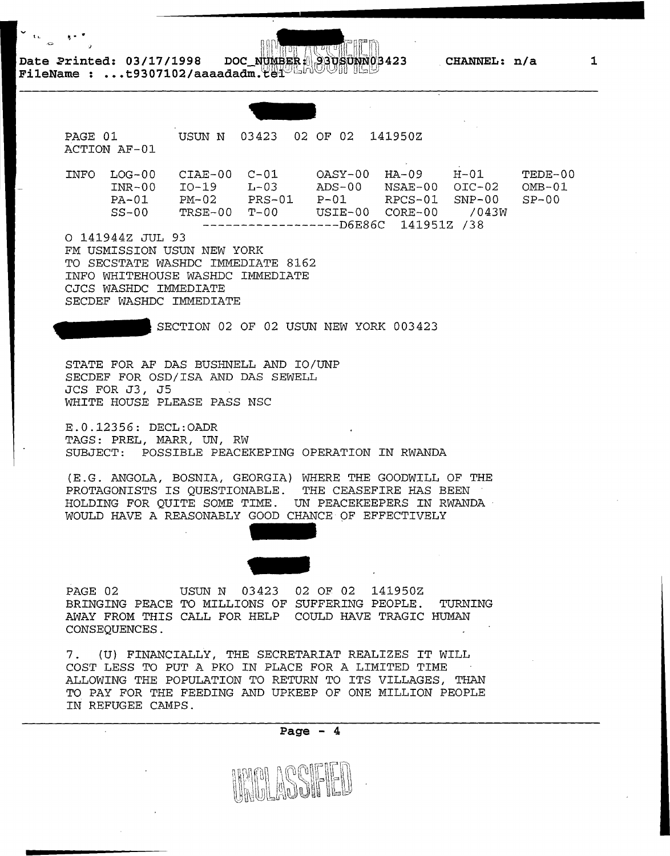Date 2rinted: 03/17/1998 DOC\_NUMBER 330SUNN03423 CHANNEL: n/a<br>FileName : ...t9307102/aaaadadm.ter

PAGE 01 ACTION AF-01 INFO LOG-00 INR-00 PA-01  $SS-00$ USUN N 03423 02 OF 02 141950Z CIAE-00 C-01 OASY-00 HA-09 H-01 I0-19 L-03 ADS-00 NSAE-00 OIC-02 PM-02 PRS-01 P-01 RPCS-01 SNP-00 TRSE-00 T-OO USIE-00 CORE-00 /043W ------------------D6E86C 141951Z /38 0 141944Z JUL 93 FM USMISSION USUN NEW YORK TO SECSTATE WASHDC IMMEDIATE 8162 INFO WHITEHOUSE WASHDC IMMEDIATE CJCS WASHDC IMMEDIATE SECDEF WASHDC IMMEDIATE SECTION 02 OF 02 USUN NEW YORK 003423 STATE FOR AF DAS BUSHNELL AND IO/UNP SECDEF FOR OSD/ISA AND DAS SEWELL JCS FOR J3, JS WHITE HOUSE PLEASE PASS NSC E.0.12356: DECL:OADR TAGS: PREL, MARR, UN, RW SUBJECT: POSSIBLE PEACEKEPING OPERATION IN RWANDA (E.G. ANGOLA, BOSNIA, GEORGIA) WHERE THE GOODWILL OF THE PROTAGONISTS IS QUESTIONABLE. THE CEASEFIRE HAS BEEN HOLDING FOR QUITE SOME TIME. UN PEACEKEEPERS IN RWANDA · WOULD HAVE A REASONABLY GOOD CHANCE OF EFFECTIVELY PAGE 02 BRINGING PEACE TO MILLIONS OF SUFFERING PEOPLE. TURNING AWAY FROM THIS CALL FOR HELP COULD HAVE TRAGIC HUMAN CONSEQUENCES. USUN N 03423 02 OF 02 141950Z 7. (U) FINANCIALLY, THE SECRETARIAT REALIZES IT WILL COST LESS TO PUT A PKO IN PLACE FOR A LIMITED TIME ALLOWING THE POPULATION TO RETURN TO ITS VILLAGES, THAN TO PAY FOR THE FEEDING AND UPKEEP OF ONE MILLION PEOPLE IN REFUGEE CAMPS. TEDE-00  $OMB-01$  $SP-00$ 



**1**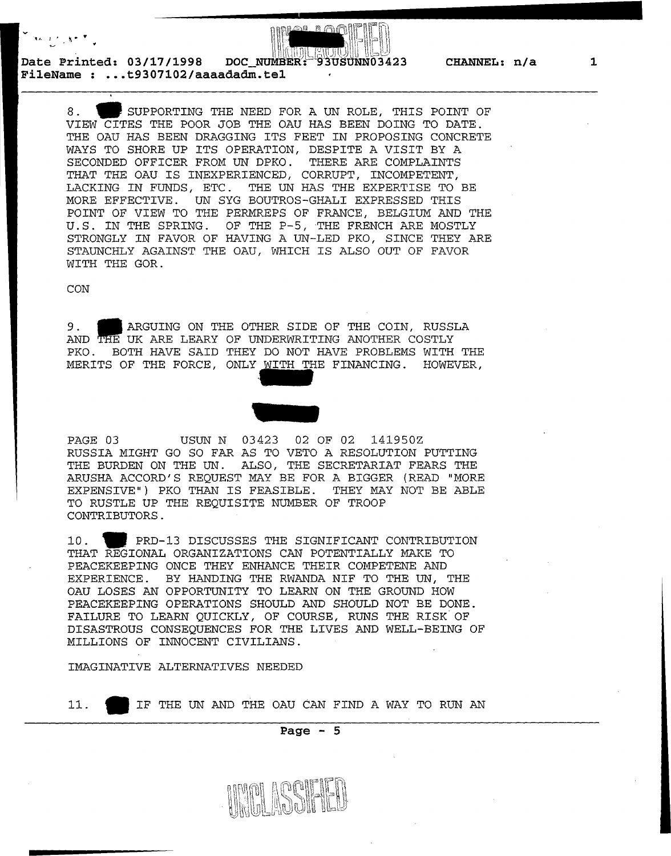

Date Printed: 03/17/1998 DOC NUMBER: **FileName : ... t9307102/aaaadadm.tel** 

> 8. SUPPORTING THE NEED FOR A UN ROLE, THIS POINT OF VIEW CITES THE POOR JOB THE OAU HAS BEEN DOING TO DATE. THE OAU HAS BEEN DRAGGING ITS FEET IN PROPOSING CONCRETE WAYS TO SHORE UP ITS OPERATION, DESPITE A VISIT BY A SECONDED OFFICER FROM UN DPKO. THERE ARE COMPLAINTS THAT THE OAU IS INEXPERIENCED, CORRUPT, INCOMPETENT, LACKING IN FUNDS, ETC. THE UN HAS THE EXPERTISE TO BE MORE EFFECTIVE. UN SYG BOUTROS-GHALI EXPRESSED THIS POINT OF VIEW TO THE PERMREPS OF FRANCE, BELGIUM AND THE U.S. IN THE SPRING. OF THE P-5, THE FRENCH ARE MOSTLY STRONGLY IN FAVOR OF HAVING A UN-LED PKO, SINCE THEY ARE STAUNCHLY AGAINST THE OAU, WHICH IS ALSO OUT OF FAVOR WITH THE GOR.

CON

CON<br>9. ARGUING ON THE OTHER SIDE OF THE COIN, RUSSLA<br>AND THE UK ARE LEARY OF UNDERWRITING ANOTHER COSTLY PKO. BOTH HAVE SAID THEY DO NOT HAVE PROBLEMS WITH THE MERITS OF THE FORCE, ONLY WITH THE FINANCING. HOWEVER,



PAGE 03 USUN N 03423 02 OF 02 141950Z RUSSIA MIGHT GO SO FAR AS TO VETO A RESOLUTION PUTTING THE BURDEN ON THE UN. ALSO, THE SECRETARIAT FEARS THE ARUSHA ACCORD'S REQUEST MAY BE FOR A BIGGER (READ "MORE EXPENSIVE") PKO THAN IS FEASIBLE. THEY MAY NOT BE ABLE TO RUSTLE UP THE REQUISITE NUMBER OF TROOP CONTRIBUTORS.

10. **1** PRD-13 DISCUSSES THE SIGNIFICANT CONTRIBUTION THAT REGIONAL ORGANIZATIONS CAN POTENTIALLY MAKE TO PEACEKEEPING ONCE THEY ENHANCE THEIR COMPETENE AND EXPERIENCE. BY HANDING THE RWANDA NIF TO THE UN, THE OAU LOSES AN OPPORTUNITY TO LEARN ON THE GROUND HOW PEACEKEEPING OPERATIONS SHOULD AND SHOULD NOT BE DONE. FAILURE TO LEARN QUICKLY, OF COURSE, RUNS THE RISK OF DISASTROUS CONSEQUENCES FOR THE LIVES AND WELL-BEING OF MILLIONS OF INNOCENT CIVILIANS.

IMAGINATIVE ALTERNATIVES NEEDED

11. **til** IF THE UN AND THE OAU CAN FIND A WAY TO RUN AN

**Page - 5**